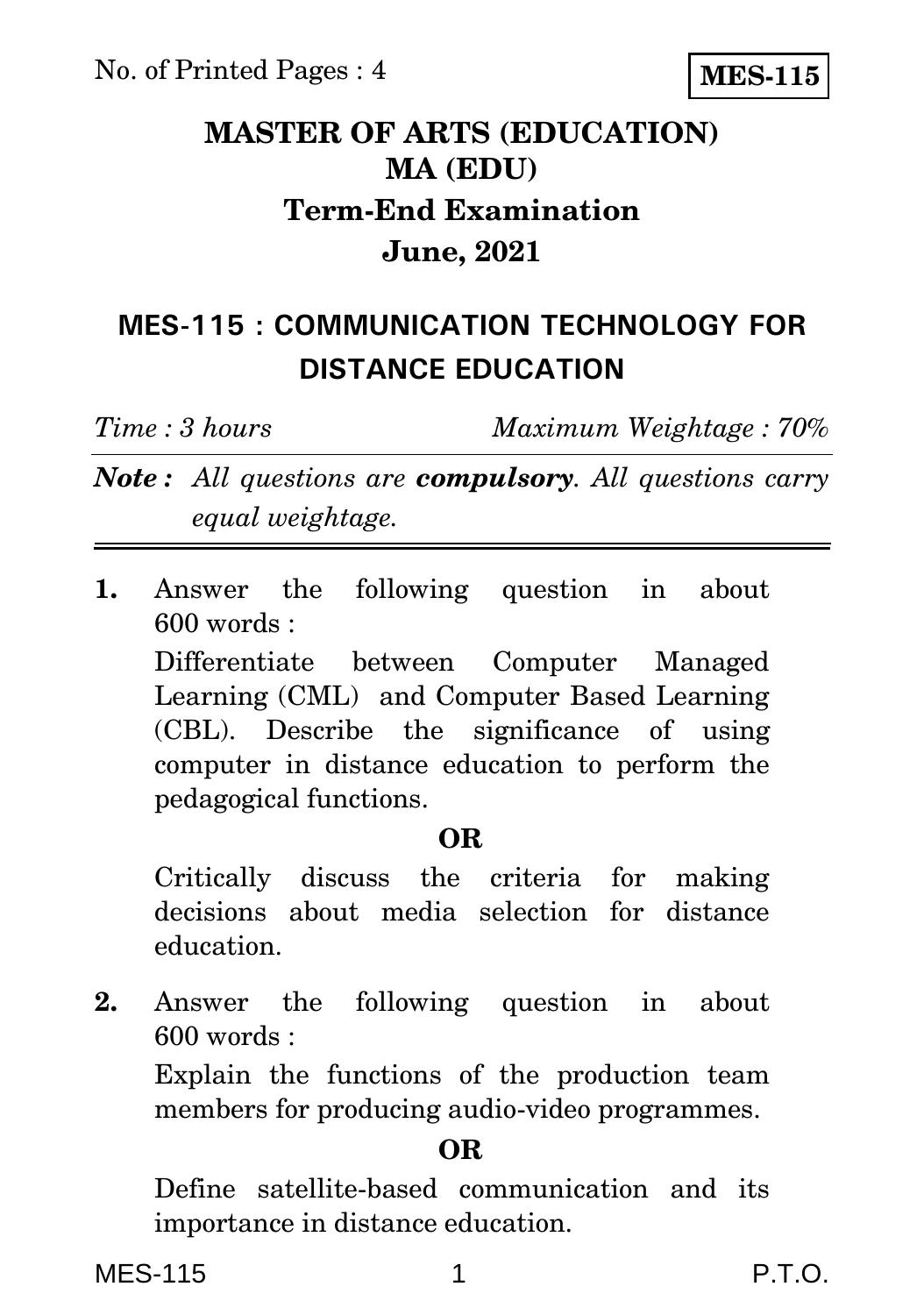**MES-115**

## **MASTER OF ARTS (EDUCATION) MA (EDU) Term-End Examination June, 2021**

## **MES-115 : COMMUNICATION TECHNOLOGY FOR DISTANCE EDUCATION**

*Time : 3 hours Maximum Weightage : 70%*

*Note : All questions are compulsory. All questions carry equal weightage.*

**1.** Answer the following question in about  $600$  words  $\cdot$ 

Differentiate between Computer Managed Learning (CML) and Computer Based Learning (CBL). Describe the significance of using computer in distance education to perform the pedagogical functions.

### **OR**

Critically discuss the criteria for making decisions about media selection for distance education.

**2.** Answer the following question in about 600 words :

Explain the functions of the production team members for producing audio-video programmes.

### **OR**

Define satellite-based communication and its importance in distance education.

MES-115 1 P.T.O.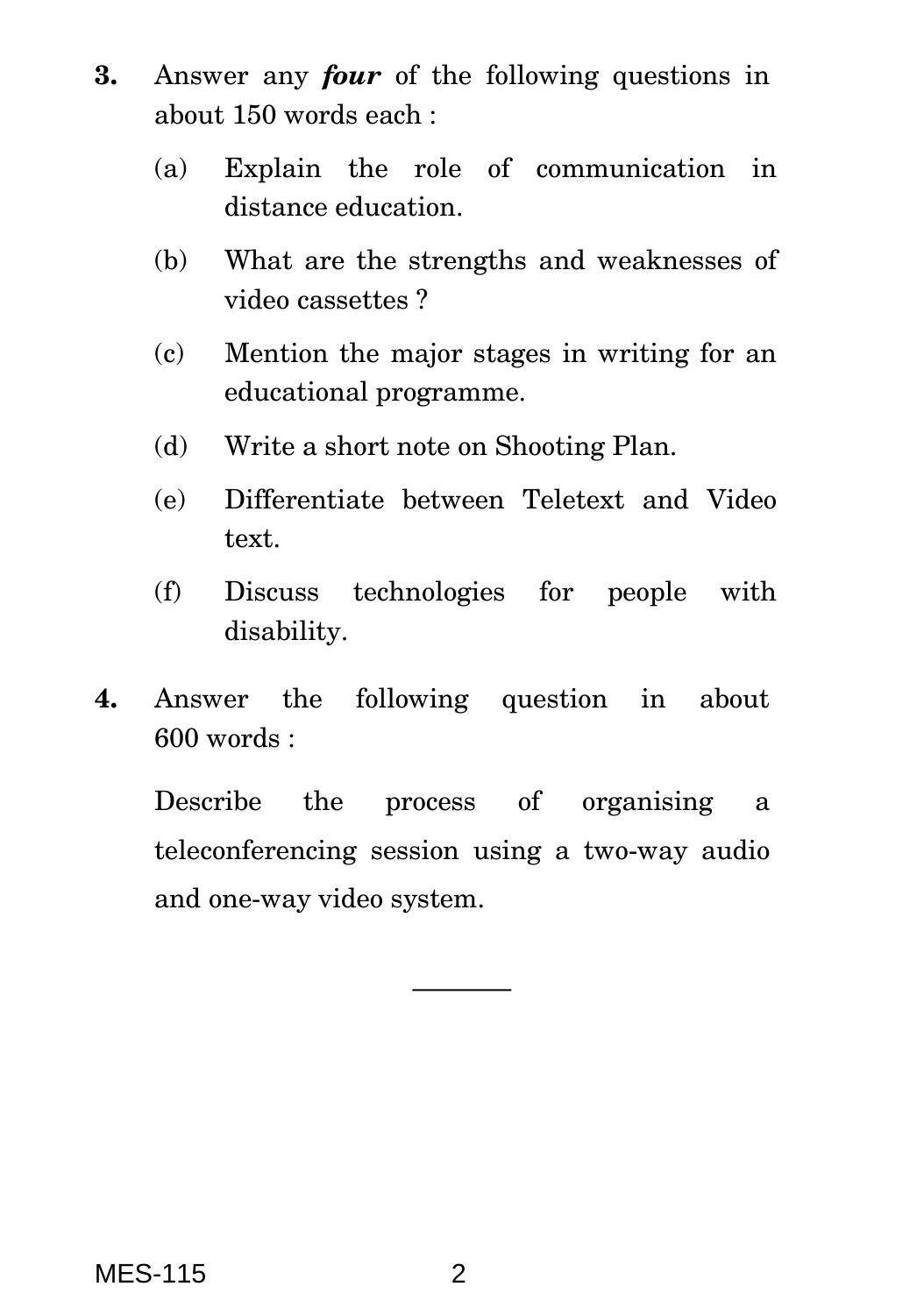- **3.** Answer any *four* of the following questions in about 150 words each :
	- (a) Explain the role of communication in distance education.
	- (b) What are the strengths and weaknesses of video cassettes ?
	- (c) Mention the major stages in writing for an educational programme.
	- (d) Write a short note on Shooting Plan.
	- (e) Differentiate between Teletext and Video text.
	- (f) Discuss technologies for people with disability.
- **4.** Answer the following question in about 600 words :

Describe the process of organising a teleconferencing session using a two-way audio and one-way video system.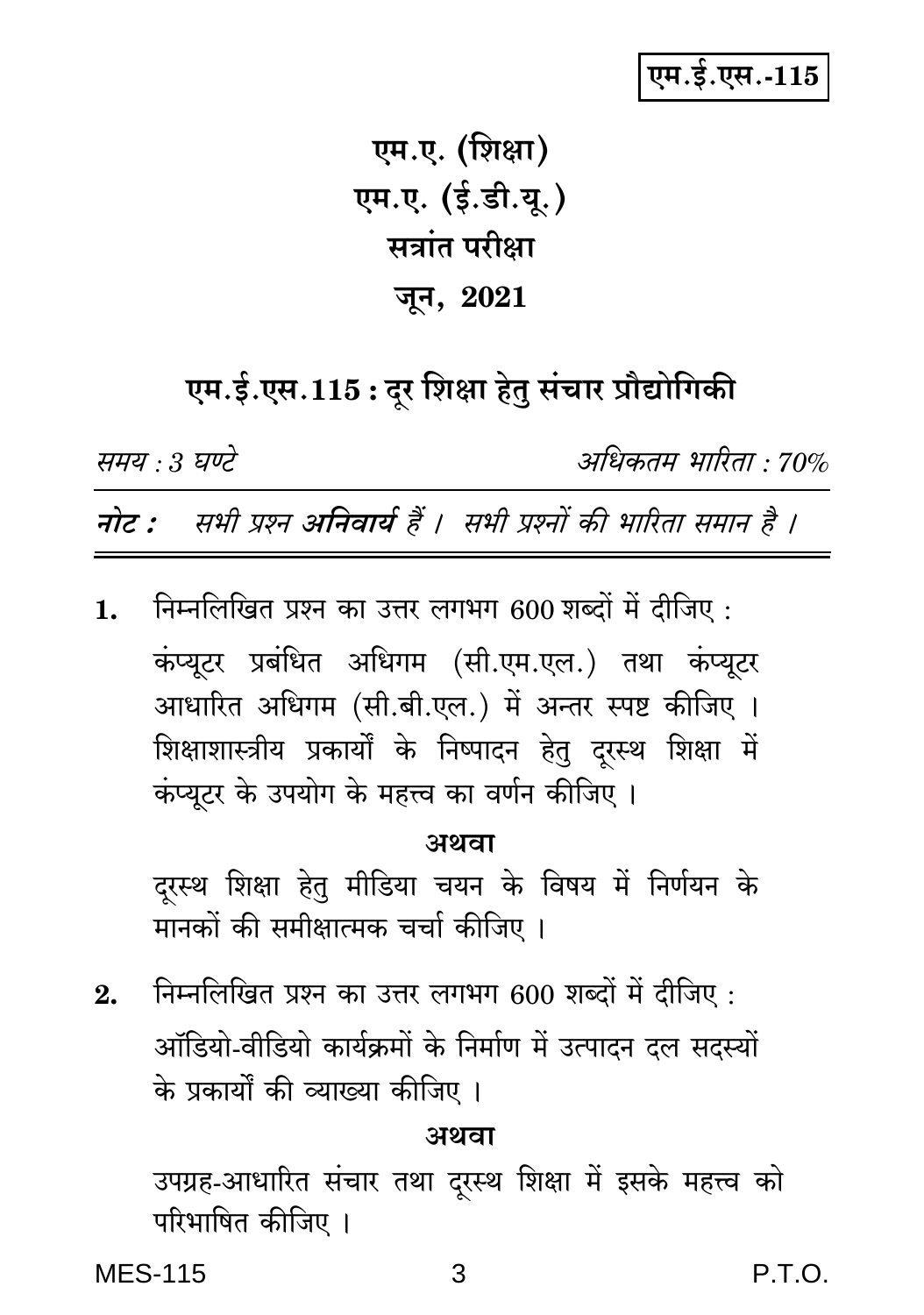## एम.ई.एस.-115

एम.ए. (शिक्षा) एम.ए. (ई.डी.यू.) सत्रांत परीक्षा जून, 2021

# एम.ई.एस.115: दूर शिक्षा हेतु संचार प्रौद्योगिकी

समय : 3 घण्टे

अधिकतम भारिता : 70%

नोट : सभी प्रश्न अनिवार्य हैं । सभी प्रश्नों की भारिता समान है ।

निम्नलिखित प्रश्न का उत्तर लगभग 600 शब्दों में दीजिए:  $\mathbf{1}$ . कंप्यटर प्रबंधित अधिगम (सी.एम.एल.) तथा कंप्यूटर आधारित अधिगम (सी.बी.एल.) में अन्तर स्पष्ट कीजिए । शिक्षाशास्त्रीय प्रकार्यों के निष्पादन हेतु दरस्थ शिक्षा में कंप्यूटर के उपयोग के महत्त्व का वर्णन कीजिए ।

अथवा

दुरस्थ शिक्षा हेतु मीडिया चयन के विषय में निर्णयन के मानकों की समीक्षात्मक चर्चा कीजिए ।

निम्नलिखित प्रश्न का उत्तर लगभग 600 शब्दों में दीजिए:  $2.$ ऑडियो-वीडियो कार्यक्रमों के निर्माण में उत्पादन दल सदस्यों के प्रकार्यों की व्याख्या कीजिए ।

#### अथवा

उपग्रह-आधारित संचार तथा दूरस्थ शिक्षा में इसके महत्त्व को परिभाषित कीजिए ।